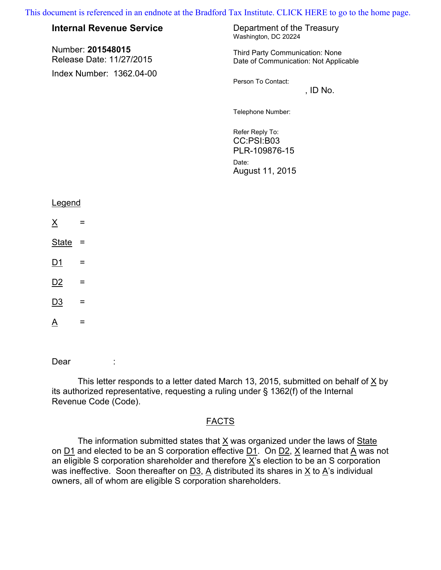[This document is referenced in an endnote at the Bradford Tax Institute. CLICK HERE to go to the home page.](www.bradfordtaxinstitute.com)

| document is referenced in an endnote at the Bradford Tax Institute. CLICK HERE to go to the hom |                                               |                                                                            |
|-------------------------------------------------------------------------------------------------|-----------------------------------------------|----------------------------------------------------------------------------|
|                                                                                                 | <b>Internal Revenue Service</b>               | Department of the Treasury<br>Washington, DC 20224                         |
|                                                                                                 | Number: 201548015<br>Release Date: 11/27/2015 | Third Party Communication: None<br>Date of Communication: Not Applicable   |
|                                                                                                 | Index Number: 1362.04-00                      | Person To Contact:<br>, ID $No.$                                           |
|                                                                                                 |                                               | Telephone Number:                                                          |
|                                                                                                 |                                               | Refer Reply To:<br>CC:PSI:B03<br>PLR-109876-15<br>Date:<br>August 11, 2015 |
|                                                                                                 | Legend                                        |                                                                            |
|                                                                                                 | $\underline{X}$<br>=                          |                                                                            |
|                                                                                                 | <b>State</b><br>$=$                           |                                                                            |
|                                                                                                 | D1<br>=                                       |                                                                            |
|                                                                                                 | D2<br>=                                       |                                                                            |

 $D3 =$ 

 $\underline{\mathsf{A}}$  =

Dear :

This letter responds to a letter dated March 13, 2015, submitted on behalf of X by its authorized representative, requesting a ruling under § 1362(f) of the Internal Revenue Code (Code).

## **FACTS**

The information submitted states that  $X$  was organized under the laws of State on  $\underline{D1}$  and elected to be an S corporation effective  $\underline{D1}$ . On  $\underline{D2}$ , X learned that A was not an eligible S corporation shareholder and therefore  $\overline{X}$ 's election to be an S corporation was ineffective. Soon thereafter on  $\underline{D3}$ , A distributed its shares in X to A's individual owners, all of whom are eligible S corporation shareholders.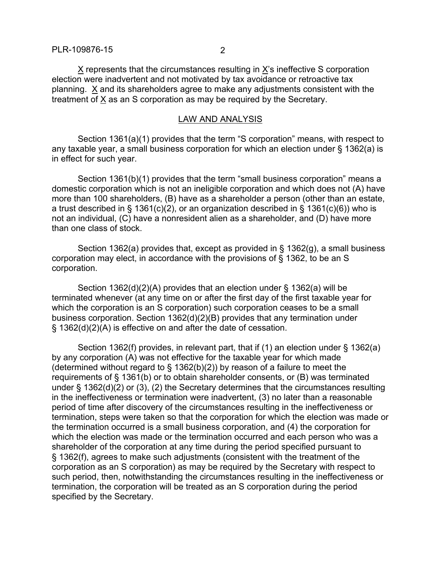X represents that the circumstances resulting in X's ineffective S corporation election were inadvertent and not motivated by tax avoidance or retroactive tax planning. X and its shareholders agree to make any adjustments consistent with the treatment of X as an S corporation as may be required by the Secretary.

## LAW AND ANALYSIS

Section 1361(a)(1) provides that the term "S corporation" means, with respect to any taxable year, a small business corporation for which an election under § 1362(a) is in effect for such year.

Section 1361(b)(1) provides that the term "small business corporation" means a domestic corporation which is not an ineligible corporation and which does not (A) have more than 100 shareholders, (B) have as a shareholder a person (other than an estate, a trust described in § 1361(c)(2), or an organization described in § 1361(c)(6)) who is not an individual, (C) have a nonresident alien as a shareholder, and (D) have more than one class of stock.

Section 1362(a) provides that, except as provided in  $\S$  1362(g), a small business corporation may elect, in accordance with the provisions of § 1362, to be an S corporation.

Section 1362(d)(2)(A) provides that an election under § 1362(a) will be terminated whenever (at any time on or after the first day of the first taxable year for which the corporation is an S corporation) such corporation ceases to be a small business corporation. Section 1362(d)(2)(B) provides that any termination under § 1362(d)(2)(A) is effective on and after the date of cessation.

Section 1362(f) provides, in relevant part, that if (1) an election under § 1362(a) by any corporation (A) was not effective for the taxable year for which made (determined without regard to  $\S$  1362(b)(2)) by reason of a failure to meet the requirements of § 1361(b) or to obtain shareholder consents, or (B) was terminated under § 1362(d)(2) or (3), (2) the Secretary determines that the circumstances resulting in the ineffectiveness or termination were inadvertent, (3) no later than a reasonable period of time after discovery of the circumstances resulting in the ineffectiveness or termination, steps were taken so that the corporation for which the election was made or the termination occurred is a small business corporation, and (4) the corporation for which the election was made or the termination occurred and each person who was a shareholder of the corporation at any time during the period specified pursuant to § 1362(f), agrees to make such adjustments (consistent with the treatment of the corporation as an S corporation) as may be required by the Secretary with respect to such period, then, notwithstanding the circumstances resulting in the ineffectiveness or termination, the corporation will be treated as an S corporation during the period specified by the Secretary.